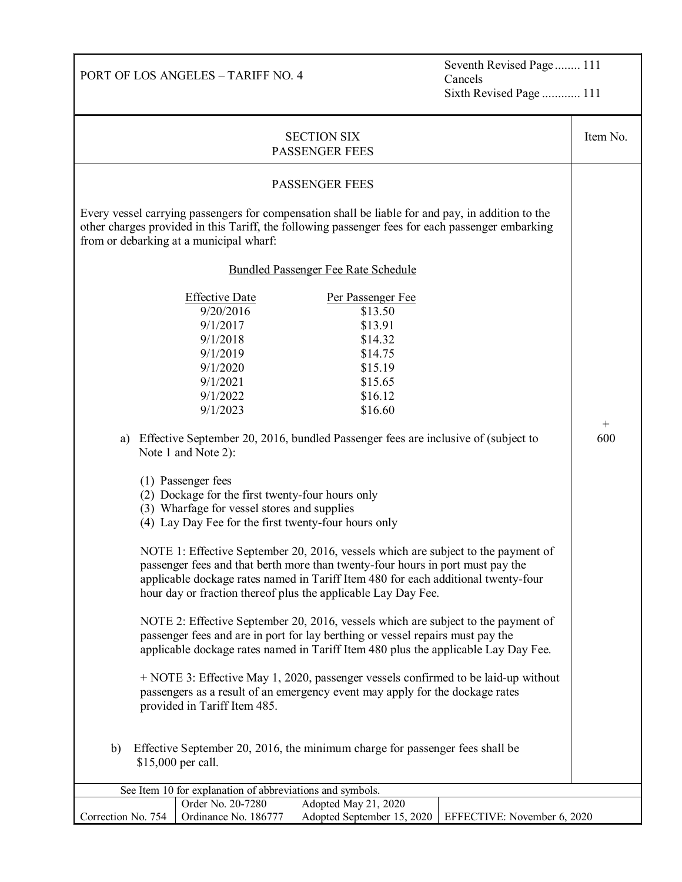Seventh Revised Page ........ 111 Cancels Sixth Revised Page ............ 111

| <b>SECTION SIX</b><br><b>PASSENGER FEES</b>                                                                                                                                                                                                                                                                                                                                                                                                                                                                                                                                                                                                                                                                                                                                                                                                                                                                                                                                                                                                                                                                                                                                                                                                                                                                                                                                                                                                        |                                           |                                                    |                             |             |
|----------------------------------------------------------------------------------------------------------------------------------------------------------------------------------------------------------------------------------------------------------------------------------------------------------------------------------------------------------------------------------------------------------------------------------------------------------------------------------------------------------------------------------------------------------------------------------------------------------------------------------------------------------------------------------------------------------------------------------------------------------------------------------------------------------------------------------------------------------------------------------------------------------------------------------------------------------------------------------------------------------------------------------------------------------------------------------------------------------------------------------------------------------------------------------------------------------------------------------------------------------------------------------------------------------------------------------------------------------------------------------------------------------------------------------------------------|-------------------------------------------|----------------------------------------------------|-----------------------------|-------------|
| <b>PASSENGER FEES</b>                                                                                                                                                                                                                                                                                                                                                                                                                                                                                                                                                                                                                                                                                                                                                                                                                                                                                                                                                                                                                                                                                                                                                                                                                                                                                                                                                                                                                              |                                           |                                                    |                             |             |
| Every vessel carrying passengers for compensation shall be liable for and pay, in addition to the<br>other charges provided in this Tariff, the following passenger fees for each passenger embarking<br>from or debarking at a municipal wharf:                                                                                                                                                                                                                                                                                                                                                                                                                                                                                                                                                                                                                                                                                                                                                                                                                                                                                                                                                                                                                                                                                                                                                                                                   |                                           |                                                    |                             |             |
| Bundled Passenger Fee Rate Schedule                                                                                                                                                                                                                                                                                                                                                                                                                                                                                                                                                                                                                                                                                                                                                                                                                                                                                                                                                                                                                                                                                                                                                                                                                                                                                                                                                                                                                |                                           |                                                    |                             |             |
| <b>Effective Date</b><br>Per Passenger Fee<br>9/20/2016<br>\$13.50<br>9/1/2017<br>\$13.91<br>9/1/2018<br>\$14.32<br>9/1/2019<br>\$14.75<br>9/1/2020<br>\$15.19<br>9/1/2021<br>\$15.65<br>9/1/2022<br>\$16.12<br>9/1/2023<br>\$16.60<br>Effective September 20, 2016, bundled Passenger fees are inclusive of (subject to<br>a)<br>Note 1 and Note 2):<br>(1) Passenger fees<br>(2) Dockage for the first twenty-four hours only<br>(3) Wharfage for vessel stores and supplies<br>(4) Lay Day Fee for the first twenty-four hours only<br>NOTE 1: Effective September 20, 2016, vessels which are subject to the payment of<br>passenger fees and that berth more than twenty-four hours in port must pay the<br>applicable dockage rates named in Tariff Item 480 for each additional twenty-four<br>hour day or fraction thereof plus the applicable Lay Day Fee.<br>NOTE 2: Effective September 20, 2016, vessels which are subject to the payment of<br>passenger fees and are in port for lay berthing or vessel repairs must pay the<br>applicable dockage rates named in Tariff Item 480 plus the applicable Lay Day Fee.<br>+ NOTE 3: Effective May 1, 2020, passenger vessels confirmed to be laid-up without<br>passengers as a result of an emergency event may apply for the dockage rates<br>provided in Tariff Item 485.<br>Effective September 20, 2016, the minimum charge for passenger fees shall be<br>b)<br>\$15,000 per call. |                                           |                                                    |                             | $^+$<br>600 |
| See Item 10 for explanation of abbreviations and symbols.                                                                                                                                                                                                                                                                                                                                                                                                                                                                                                                                                                                                                                                                                                                                                                                                                                                                                                                                                                                                                                                                                                                                                                                                                                                                                                                                                                                          |                                           |                                                    |                             |             |
| Correction No. 754                                                                                                                                                                                                                                                                                                                                                                                                                                                                                                                                                                                                                                                                                                                                                                                                                                                                                                                                                                                                                                                                                                                                                                                                                                                                                                                                                                                                                                 | Order No. 20-7280<br>Ordinance No. 186777 | Adopted May 21, 2020<br>Adopted September 15, 2020 | EFFECTIVE: November 6, 2020 |             |

PORT OF LOS ANGELES – TARIFF NO. 4